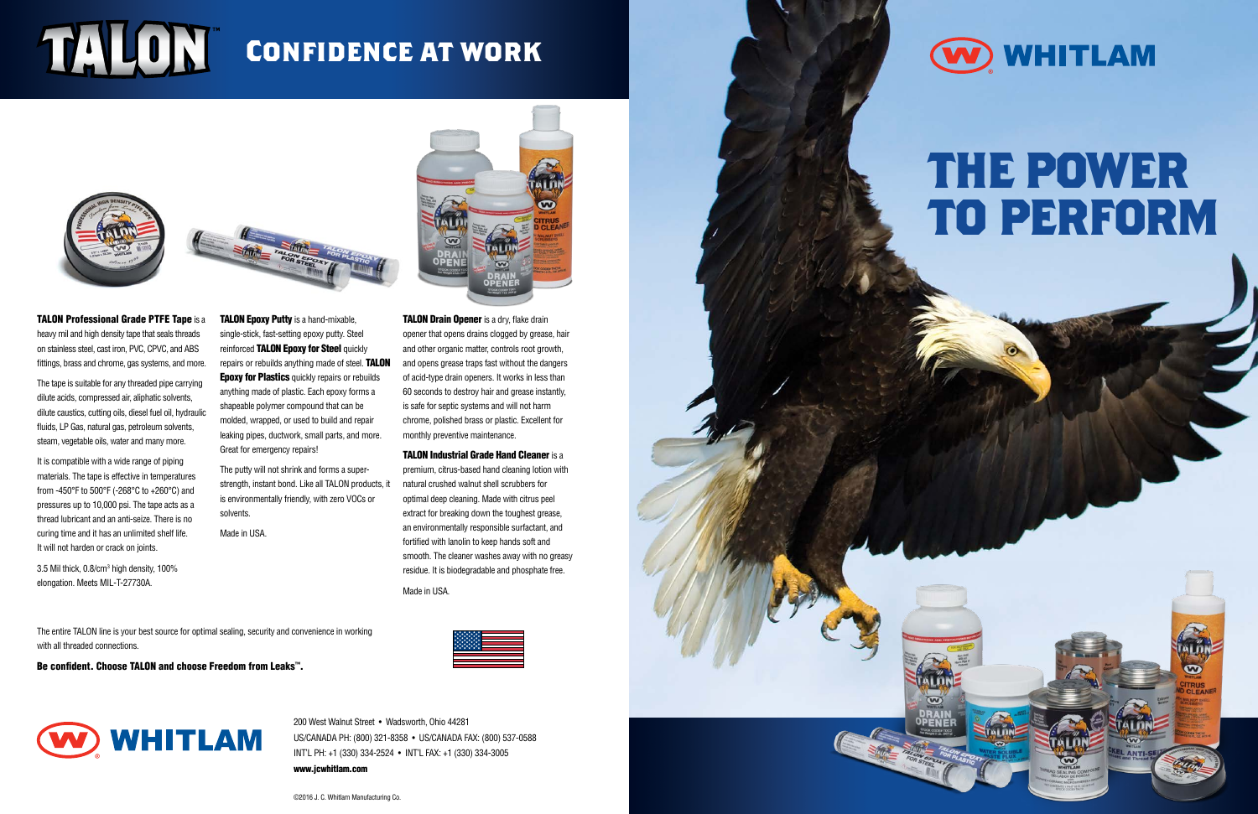

## **CON CONFIDENCE AT WORK**





TALON Professional Grade PTFE Tape is a heavy mil and high density tape that seals threads on stainless steel, cast iron, PVC, CPVC, and ABS fittings, brass and chrome, gas systems, and more.

The tape is suitable for any threaded pipe carrying dilute acids, compressed air, aliphatic solvents, dilute caustics, cutting oils, diesel fuel oil, hydraulic fluids, LP Gas, natural gas, petroleum solvents, steam, vegetable oils, water and many more.

3.5 Mil thick, 0.8/cm $^3$  high density, 100% elongation. Meets MIL-T-27730A.

It is compatible with a wide range of piping materials. The tape is effective in temperatures from -450°F to 500°F (-268°C to +260°C) and pressures up to 10,000 psi. The tape acts as a thread lubricant and an anti-seize. There is no curing time and it has an unlimited shelf life. It will not harden or crack on joints.

**TALON Epoxy Putty** is a hand-mixable, single-stick, fast-setting epoxy putty. Steel reinforced TALON Epoxy for Steel quickly repairs or rebuilds anything made of steel. TALON **Epoxy for Plastics** quickly repairs or rebuilds anything made of plastic. Each epoxy forms a shapeable polymer compound that can be molded, wrapped, or used to build and repair leaking pipes, ductwork, small parts, and more. Great for emergency repairs!

**TALON Drain Opener** is a dry, flake drain opener that opens drains clogged by grease, hair and other organic matter, controls root growth, and opens grease traps fast without the dangers of acid-type drain openers. It works in less than 60 seconds to destroy hair and grease instantly, is safe for septic systems and will not harm chrome, polished brass or plastic. Excellent for monthly preventive maintenance.

The putty will not shrink and forms a superstrength, instant bond. Like all TALON products, it is environmentally friendly, with zero VOCs or solvents.

Made in USA.



TALON Industrial Grade Hand Cleaner is a premium, citrus-based hand cleaning lotion with natural crushed walnut shell scrubbers for optimal deep cleaning. Made with citrus peel extract for breaking down the toughest grease, an environmentally responsible surfactant, and fortified with lanolin to keep hands soft and smooth. The cleaner washes away with no greasy residue. It is biodegradable and phosphate free.

Made in USA.



The entire TALON line is your best source for optimal sealing, security and convenience in working with all threaded connections.

Be confident. Choose TALON and choose Freedom from Leaks™.



200 West Walnut Street • Wadsworth, Ohio 44281 US/CANADA PH: (800) 321-8358 • US/CANADA FAX: (800) 537-0588 INT'L PH: +1 (330) 334-2524 • INT'L FAX: +1 (330) 334-3005 www.jcwhitlam.com

©2016 J. C. Whitlam Manufacturing Co.